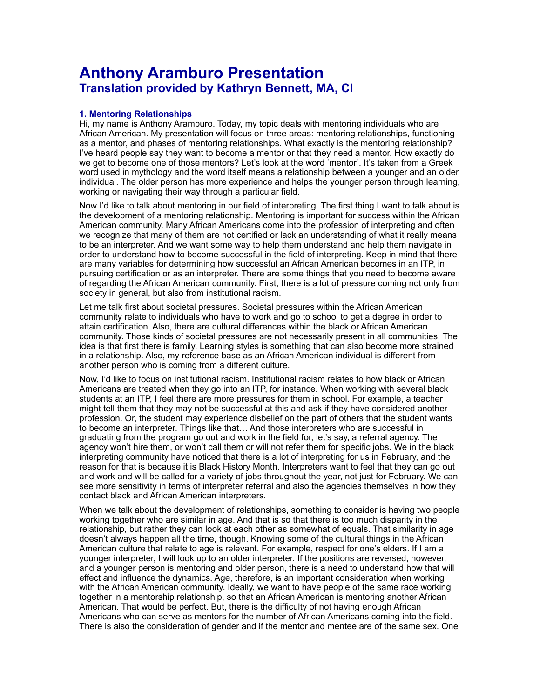# **Anthony Aramburo Presentation Translation provided by Kathryn Bennett, MA, CI**

## **1. Mentoring Relationships**

Hi, my name is Anthony Aramburo. Today, my topic deals with mentoring individuals who are African American. My presentation will focus on three areas: mentoring relationships, functioning as a mentor, and phases of mentoring relationships. What exactly is the mentoring relationship? I've heard people say they want to become a mentor or that they need a mentor. How exactly do we get to become one of those mentors? Let's look at the word 'mentor'. It's taken from a Greek word used in mythology and the word itself means a relationship between a younger and an older individual. The older person has more experience and helps the younger person through learning, working or navigating their way through a particular field.

Now I'd like to talk about mentoring in our field of interpreting. The first thing I want to talk about is the development of a mentoring relationship. Mentoring is important for success within the African American community. Many African Americans come into the profession of interpreting and often we recognize that many of them are not certified or lack an understanding of what it really means to be an interpreter. And we want some way to help them understand and help them navigate in order to understand how to become successful in the field of interpreting. Keep in mind that there are many variables for determining how successful an African American becomes in an ITP, in pursuing certification or as an interpreter. There are some things that you need to become aware of regarding the African American community. First, there is a lot of pressure coming not only from society in general, but also from institutional racism.

Let me talk first about societal pressures. Societal pressures within the African American community relate to individuals who have to work and go to school to get a degree in order to attain certification. Also, there are cultural differences within the black or African American community. Those kinds of societal pressures are not necessarily present in all communities. The idea is that first there is family. Learning styles is something that can also become more strained in a relationship. Also, my reference base as an African American individual is different from another person who is coming from a different culture.

Now, I'd like to focus on institutional racism. Institutional racism relates to how black or African Americans are treated when they go into an ITP, for instance. When working with several black students at an ITP, I feel there are more pressures for them in school. For example, a teacher might tell them that they may not be successful at this and ask if they have considered another profession. Or, the student may experience disbelief on the part of others that the student wants to become an interpreter. Things like that… And those interpreters who are successful in graduating from the program go out and work in the field for, let's say, a referral agency. The agency won't hire them, or won't call them or will not refer them for specific jobs. We in the black interpreting community have noticed that there is a lot of interpreting for us in February, and the reason for that is because it is Black History Month. Interpreters want to feel that they can go out and work and will be called for a variety of jobs throughout the year, not just for February. We can see more sensitivity in terms of interpreter referral and also the agencies themselves in how they contact black and African American interpreters.

When we talk about the development of relationships, something to consider is having two people working together who are similar in age. And that is so that there is too much disparity in the relationship, but rather they can look at each other as somewhat of equals. That similarity in age doesn't always happen all the time, though. Knowing some of the cultural things in the African American culture that relate to age is relevant. For example, respect for one's elders. If I am a younger interpreter, I will look up to an older interpreter. If the positions are reversed, however, and a younger person is mentoring and older person, there is a need to understand how that will effect and influence the dynamics. Age, therefore, is an important consideration when working with the African American community. Ideally, we want to have people of the same race working together in a mentorship relationship, so that an African American is mentoring another African American. That would be perfect. But, there is the difficulty of not having enough African Americans who can serve as mentors for the number of African Americans coming into the field. There is also the consideration of gender and if the mentor and mentee are of the same sex. One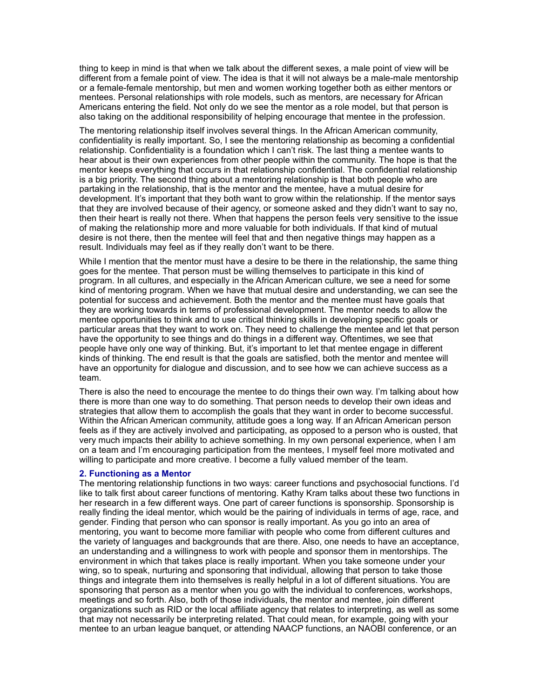thing to keep in mind is that when we talk about the different sexes, a male point of view will be different from a female point of view. The idea is that it will not always be a male-male mentorship or a female-female mentorship, but men and women working together both as either mentors or mentees. Personal relationships with role models, such as mentors, are necessary for African Americans entering the field. Not only do we see the mentor as a role model, but that person is also taking on the additional responsibility of helping encourage that mentee in the profession.

The mentoring relationship itself involves several things. In the African American community, confidentiality is really important. So, I see the mentoring relationship as becoming a confidential relationship. Confidentiality is a foundation which I can't risk. The last thing a mentee wants to hear about is their own experiences from other people within the community. The hope is that the mentor keeps everything that occurs in that relationship confidential. The confidential relationship is a big priority. The second thing about a mentoring relationship is that both people who are partaking in the relationship, that is the mentor and the mentee, have a mutual desire for development. It's important that they both want to grow within the relationship. If the mentor says that they are involved because of their agency, or someone asked and they didn't want to say no, then their heart is really not there. When that happens the person feels very sensitive to the issue of making the relationship more and more valuable for both individuals. If that kind of mutual desire is not there, then the mentee will feel that and then negative things may happen as a result. Individuals may feel as if they really don't want to be there.

While I mention that the mentor must have a desire to be there in the relationship, the same thing goes for the mentee. That person must be willing themselves to participate in this kind of program. In all cultures, and especially in the African American culture, we see a need for some kind of mentoring program. When we have that mutual desire and understanding, we can see the potential for success and achievement. Both the mentor and the mentee must have goals that they are working towards in terms of professional development. The mentor needs to allow the mentee opportunities to think and to use critical thinking skills in developing specific goals or particular areas that they want to work on. They need to challenge the mentee and let that person have the opportunity to see things and do things in a different way. Oftentimes, we see that people have only one way of thinking. But, it's important to let that mentee engage in different kinds of thinking. The end result is that the goals are satisfied, both the mentor and mentee will have an opportunity for dialogue and discussion, and to see how we can achieve success as a team.

There is also the need to encourage the mentee to do things their own way. I'm talking about how there is more than one way to do something. That person needs to develop their own ideas and strategies that allow them to accomplish the goals that they want in order to become successful. Within the African American community, attitude goes a long way. If an African American person feels as if they are actively involved and participating, as opposed to a person who is ousted, that very much impacts their ability to achieve something. In my own personal experience, when I am on a team and I'm encouraging participation from the mentees, I myself feel more motivated and willing to participate and more creative. I become a fully valued member of the team.

### **2. Functioning as a Mentor**

The mentoring relationship functions in two ways: career functions and psychosocial functions. I'd like to talk first about career functions of mentoring. Kathy Kram talks about these two functions in her research in a few different ways. One part of career functions is sponsorship. Sponsorship is really finding the ideal mentor, which would be the pairing of individuals in terms of age, race, and gender. Finding that person who can sponsor is really important. As you go into an area of mentoring, you want to become more familiar with people who come from different cultures and the variety of languages and backgrounds that are there. Also, one needs to have an acceptance, an understanding and a willingness to work with people and sponsor them in mentorships. The environment in which that takes place is really important. When you take someone under your wing, so to speak, nurturing and sponsoring that individual, allowing that person to take those things and integrate them into themselves is really helpful in a lot of different situations. You are sponsoring that person as a mentor when you go with the individual to conferences, workshops, meetings and so forth. Also, both of those individuals, the mentor and mentee, join different organizations such as RID or the local affiliate agency that relates to interpreting, as well as some that may not necessarily be interpreting related. That could mean, for example, going with your mentee to an urban league banquet, or attending NAACP functions, an NAOBI conference, or an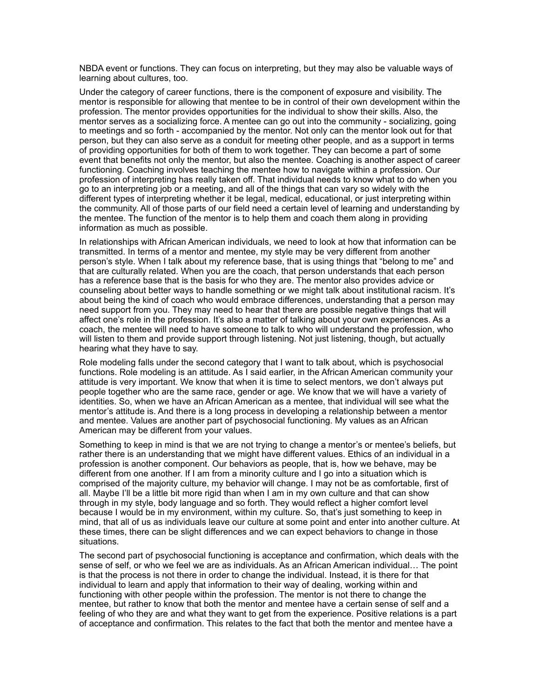NBDA event or functions. They can focus on interpreting, but they may also be valuable ways of learning about cultures, too.

Under the category of career functions, there is the component of exposure and visibility. The mentor is responsible for allowing that mentee to be in control of their own development within the profession. The mentor provides opportunities for the individual to show their skills. Also, the mentor serves as a socializing force. A mentee can go out into the community - socializing, going to meetings and so forth - accompanied by the mentor. Not only can the mentor look out for that person, but they can also serve as a conduit for meeting other people, and as a support in terms of providing opportunities for both of them to work together. They can become a part of some event that benefits not only the mentor, but also the mentee. Coaching is another aspect of career functioning. Coaching involves teaching the mentee how to navigate within a profession. Our profession of interpreting has really taken off. That individual needs to know what to do when you go to an interpreting job or a meeting, and all of the things that can vary so widely with the different types of interpreting whether it be legal, medical, educational, or just interpreting within the community. All of those parts of our field need a certain level of learning and understanding by the mentee. The function of the mentor is to help them and coach them along in providing information as much as possible.

In relationships with African American individuals, we need to look at how that information can be transmitted. In terms of a mentor and mentee, my style may be very different from another person's style. When I talk about my reference base, that is using things that "belong to me" and that are culturally related. When you are the coach, that person understands that each person has a reference base that is the basis for who they are. The mentor also provides advice or counseling about better ways to handle something or we might talk about institutional racism. It's about being the kind of coach who would embrace differences, understanding that a person may need support from you. They may need to hear that there are possible negative things that will affect one's role in the profession. It's also a matter of talking about your own experiences. As a coach, the mentee will need to have someone to talk to who will understand the profession, who will listen to them and provide support through listening. Not just listening, though, but actually hearing what they have to say.

Role modeling falls under the second category that I want to talk about, which is psychosocial functions. Role modeling is an attitude. As I said earlier, in the African American community your attitude is very important. We know that when it is time to select mentors, we don't always put people together who are the same race, gender or age. We know that we will have a variety of identities. So, when we have an African American as a mentee, that individual will see what the mentor's attitude is. And there is a long process in developing a relationship between a mentor and mentee. Values are another part of psychosocial functioning. My values as an African American may be different from your values.

Something to keep in mind is that we are not trying to change a mentor's or mentee's beliefs, but rather there is an understanding that we might have different values. Ethics of an individual in a profession is another component. Our behaviors as people, that is, how we behave, may be different from one another. If I am from a minority culture and I go into a situation which is comprised of the majority culture, my behavior will change. I may not be as comfortable, first of all. Maybe I'll be a little bit more rigid than when I am in my own culture and that can show through in my style, body language and so forth. They would reflect a higher comfort level because I would be in my environment, within my culture. So, that's just something to keep in mind, that all of us as individuals leave our culture at some point and enter into another culture. At these times, there can be slight differences and we can expect behaviors to change in those situations.

The second part of psychosocial functioning is acceptance and confirmation, which deals with the sense of self, or who we feel we are as individuals. As an African American individual… The point is that the process is not there in order to change the individual. Instead, it is there for that individual to learn and apply that information to their way of dealing, working within and functioning with other people within the profession. The mentor is not there to change the mentee, but rather to know that both the mentor and mentee have a certain sense of self and a feeling of who they are and what they want to get from the experience. Positive relations is a part of acceptance and confirmation. This relates to the fact that both the mentor and mentee have a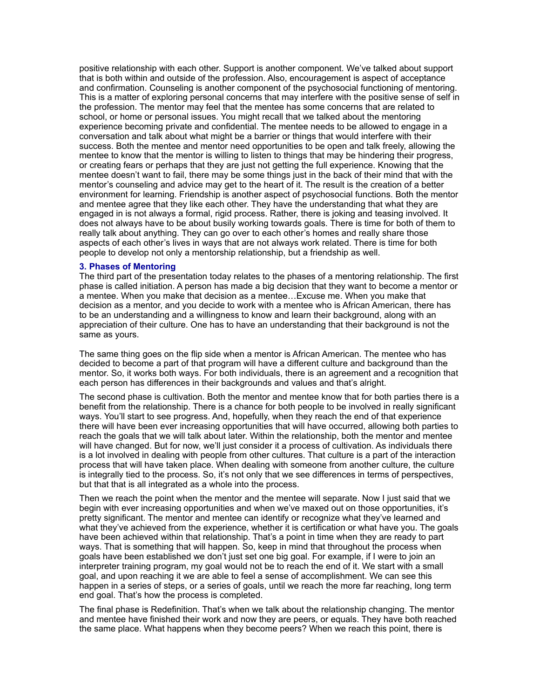positive relationship with each other. Support is another component. We've talked about support that is both within and outside of the profession. Also, encouragement is aspect of acceptance and confirmation. Counseling is another component of the psychosocial functioning of mentoring. This is a matter of exploring personal concerns that may interfere with the positive sense of self in the profession. The mentor may feel that the mentee has some concerns that are related to school, or home or personal issues. You might recall that we talked about the mentoring experience becoming private and confidential. The mentee needs to be allowed to engage in a conversation and talk about what might be a barrier or things that would interfere with their success. Both the mentee and mentor need opportunities to be open and talk freely, allowing the mentee to know that the mentor is willing to listen to things that may be hindering their progress, or creating fears or perhaps that they are just not getting the full experience. Knowing that the mentee doesn't want to fail, there may be some things just in the back of their mind that with the mentor's counseling and advice may get to the heart of it. The result is the creation of a better environment for learning. Friendship is another aspect of psychosocial functions. Both the mentor and mentee agree that they like each other. They have the understanding that what they are engaged in is not always a formal, rigid process. Rather, there is joking and teasing involved. It does not always have to be about busily working towards goals. There is time for both of them to really talk about anything. They can go over to each other's homes and really share those aspects of each other's lives in ways that are not always work related. There is time for both people to develop not only a mentorship relationship, but a friendship as well.

#### **3. Phases of Mentoring**

The third part of the presentation today relates to the phases of a mentoring relationship. The first phase is called initiation. A person has made a big decision that they want to become a mentor or a mentee. When you make that decision as a mentee…Excuse me. When you make that decision as a mentor, and you decide to work with a mentee who is African American, there has to be an understanding and a willingness to know and learn their background, along with an appreciation of their culture. One has to have an understanding that their background is not the same as yours.

The same thing goes on the flip side when a mentor is African American. The mentee who has decided to become a part of that program will have a different culture and background than the mentor. So, it works both ways. For both individuals, there is an agreement and a recognition that each person has differences in their backgrounds and values and that's alright.

The second phase is cultivation. Both the mentor and mentee know that for both parties there is a benefit from the relationship. There is a chance for both people to be involved in really significant ways. You'll start to see progress. And, hopefully, when they reach the end of that experience there will have been ever increasing opportunities that will have occurred, allowing both parties to reach the goals that we will talk about later. Within the relationship, both the mentor and mentee will have changed. But for now, we'll just consider it a process of cultivation. As individuals there is a lot involved in dealing with people from other cultures. That culture is a part of the interaction process that will have taken place. When dealing with someone from another culture, the culture is integrally tied to the process. So, it's not only that we see differences in terms of perspectives, but that that is all integrated as a whole into the process.

Then we reach the point when the mentor and the mentee will separate. Now I just said that we begin with ever increasing opportunities and when we've maxed out on those opportunities, it's pretty significant. The mentor and mentee can identify or recognize what they've learned and what they've achieved from the experience, whether it is certification or what have you. The goals have been achieved within that relationship. That's a point in time when they are ready to part ways. That is something that will happen. So, keep in mind that throughout the process when goals have been established we don't just set one big goal. For example, if I were to join an interpreter training program, my goal would not be to reach the end of it. We start with a small goal, and upon reaching it we are able to feel a sense of accomplishment. We can see this happen in a series of steps, or a series of goals, until we reach the more far reaching, long term end goal. That's how the process is completed.

The final phase is Redefinition. That's when we talk about the relationship changing. The mentor and mentee have finished their work and now they are peers, or equals. They have both reached the same place. What happens when they become peers? When we reach this point, there is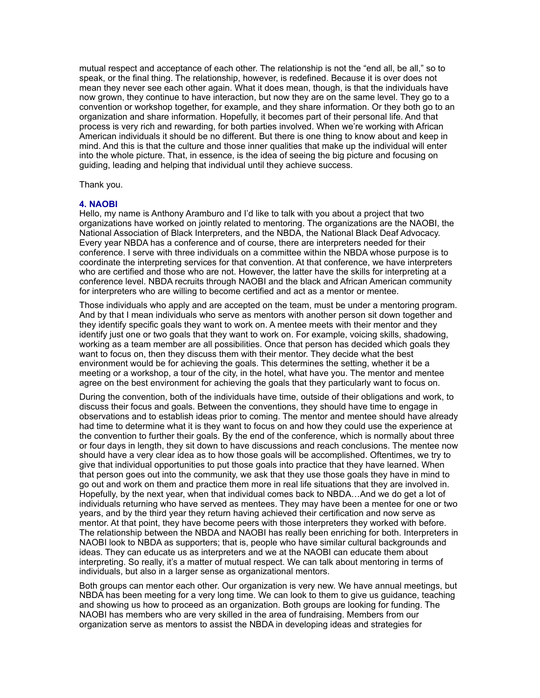mutual respect and acceptance of each other. The relationship is not the "end all, be all," so to speak, or the final thing. The relationship, however, is redefined. Because it is over does not mean they never see each other again. What it does mean, though, is that the individuals have now grown, they continue to have interaction, but now they are on the same level. They go to a convention or workshop together, for example, and they share information. Or they both go to an organization and share information. Hopefully, it becomes part of their personal life. And that process is very rich and rewarding, for both parties involved. When we're working with African American individuals it should be no different. But there is one thing to know about and keep in mind. And this is that the culture and those inner qualities that make up the individual will enter into the whole picture. That, in essence, is the idea of seeing the big picture and focusing on guiding, leading and helping that individual until they achieve success.

Thank you.

### **4. NAOBI**

Hello, my name is Anthony Aramburo and I'd like to talk with you about a project that two organizations have worked on jointly related to mentoring. The organizations are the NAOBI, the National Association of Black Interpreters, and the NBDA, the National Black Deaf Advocacy. Every year NBDA has a conference and of course, there are interpreters needed for their conference. I serve with three individuals on a committee within the NBDA whose purpose is to coordinate the interpreting services for that convention. At that conference, we have interpreters who are certified and those who are not. However, the latter have the skills for interpreting at a conference level. NBDA recruits through NAOBI and the black and African American community for interpreters who are willing to become certified and act as a mentor or mentee.

Those individuals who apply and are accepted on the team, must be under a mentoring program. And by that I mean individuals who serve as mentors with another person sit down together and they identify specific goals they want to work on. A mentee meets with their mentor and they identify just one or two goals that they want to work on. For example, voicing skills, shadowing, working as a team member are all possibilities. Once that person has decided which goals they want to focus on, then they discuss them with their mentor. They decide what the best environment would be for achieving the goals. This determines the setting, whether it be a meeting or a workshop, a tour of the city, in the hotel, what have you. The mentor and mentee agree on the best environment for achieving the goals that they particularly want to focus on.

During the convention, both of the individuals have time, outside of their obligations and work, to discuss their focus and goals. Between the conventions, they should have time to engage in observations and to establish ideas prior to coming. The mentor and mentee should have already had time to determine what it is they want to focus on and how they could use the experience at the convention to further their goals. By the end of the conference, which is normally about three or four days in length, they sit down to have discussions and reach conclusions. The mentee now should have a very clear idea as to how those goals will be accomplished. Oftentimes, we try to give that individual opportunities to put those goals into practice that they have learned. When that person goes out into the community, we ask that they use those goals they have in mind to go out and work on them and practice them more in real life situations that they are involved in. Hopefully, by the next year, when that individual comes back to NBDA…And we do get a lot of individuals returning who have served as mentees. They may have been a mentee for one or two years, and by the third year they return having achieved their certification and now serve as mentor. At that point, they have become peers with those interpreters they worked with before. The relationship between the NBDA and NAOBI has really been enriching for both. Interpreters in NAOBI look to NBDA as supporters; that is, people who have similar cultural backgrounds and ideas. They can educate us as interpreters and we at the NAOBI can educate them about interpreting. So really, it's a matter of mutual respect. We can talk about mentoring in terms of individuals, but also in a larger sense as organizational mentors.

Both groups can mentor each other. Our organization is very new. We have annual meetings, but NBDA has been meeting for a very long time. We can look to them to give us guidance, teaching and showing us how to proceed as an organization. Both groups are looking for funding. The NAOBI has members who are very skilled in the area of fundraising. Members from our organization serve as mentors to assist the NBDA in developing ideas and strategies for